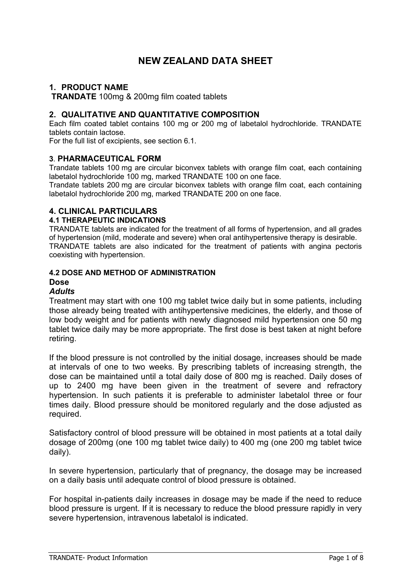# **NEW ZEALAND DATA SHEET**

# **1. PRODUCT NAME**

**TRANDATE** 100mg & 200mg film coated tablets

# **2. QUALITATIVE AND QUANTITATIVE COMPOSITION**

Each film coated tablet contains 100 mg or 200 mg of labetalol hydrochloride. TRANDATE tablets contain lactose.

For the full list of excipients, see section 6.1.

### **3**. **PHARMACEUTICAL FORM**

Trandate tablets 100 mg are circular biconvex tablets with orange film coat, each containing labetalol hydrochloride 100 mg, marked TRANDATE 100 on one face.

Trandate tablets 200 mg are circular biconvex tablets with orange film coat, each containing labetalol hydrochloride 200 mg, marked TRANDATE 200 on one face.

# **4. CLINICAL PARTICULARS**

### **4.1 THERAPEUTIC INDICATIONS**

TRANDATE tablets are indicated for the treatment of all forms of hypertension, and all grades of hypertension (mild, moderate and severe) when oral antihypertensive therapy is desirable. TRANDATE tablets are also indicated for the treatment of patients with angina pectoris coexisting with hypertension.

### **4.2 DOSE AND METHOD OF ADMINISTRATION**

# **Dose**

### *Adults*

Treatment may start with one 100 mg tablet twice daily but in some patients, including those already being treated with antihypertensive medicines, the elderly, and those of low body weight and for patients with newly diagnosed mild hypertension one 50 mg tablet twice daily may be more appropriate. The first dose is best taken at night before retiring.

If the blood pressure is not controlled by the initial dosage, increases should be made at intervals of one to two weeks. By prescribing tablets of increasing strength, the dose can be maintained until a total daily dose of 800 mg is reached. Daily doses of up to 2400 mg have been given in the treatment of severe and refractory hypertension. In such patients it is preferable to administer labetalol three or four times daily. Blood pressure should be monitored regularly and the dose adjusted as required.

Satisfactory control of blood pressure will be obtained in most patients at a total daily dosage of 200mg (one 100 mg tablet twice daily) to 400 mg (one 200 mg tablet twice daily).

In severe hypertension, particularly that of pregnancy, the dosage may be increased on a daily basis until adequate control of blood pressure is obtained.

For hospital in-patients daily increases in dosage may be made if the need to reduce blood pressure is urgent. If it is necessary to reduce the blood pressure rapidly in very severe hypertension, intravenous labetalol is indicated.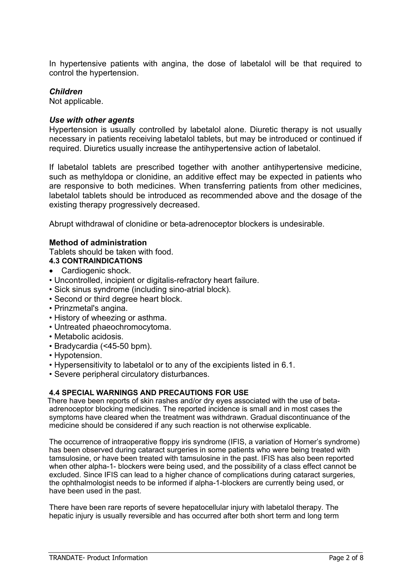In hypertensive patients with angina, the dose of labetalol will be that required to control the hypertension.

# *Children*

Not applicable.

# *Use with other agents*

Hypertension is usually controlled by labetalol alone. Diuretic therapy is not usually necessary in patients receiving labetalol tablets, but may be introduced or continued if required. Diuretics usually increase the antihypertensive action of labetalol.

If labetalol tablets are prescribed together with another antihypertensive medicine, such as methyldopa or clonidine, an additive effect may be expected in patients who are responsive to both medicines. When transferring patients from other medicines, labetalol tablets should be introduced as recommended above and the dosage of the existing therapy progressively decreased.

Abrupt withdrawal of clonidine or beta-adrenoceptor blockers is undesirable.

# **Method of administration**

Tablets should be taken with food.

- **4.3 CONTRAINDICATIONS**
- Cardiogenic shock.
- Uncontrolled, incipient or digitalis-refractory heart failure.
- Sick sinus syndrome (including sino-atrial block).
- Second or third degree heart block.
- Prinzmetal's angina.
- History of wheezing or asthma.
- Untreated phaeochromocytoma.
- Metabolic acidosis.
- Bradycardia (<45-50 bpm).
- Hypotension.
- Hypersensitivity to labetalol or to any of the excipients listed in 6.1.
- Severe peripheral circulatory disturbances.

# **4.4 SPECIAL WARNINGS AND PRECAUTIONS FOR USE**

There have been reports of skin rashes and/or dry eyes associated with the use of betaadrenoceptor blocking medicines. The reported incidence is small and in most cases the symptoms have cleared when the treatment was withdrawn. Gradual discontinuance of the medicine should be considered if any such reaction is not otherwise explicable.

The occurrence of intraoperative floppy iris syndrome (IFIS, a variation of Horner's syndrome) has been observed during cataract surgeries in some patients who were being treated with tamsulosine, or have been treated with tamsulosine in the past. IFIS has also been reported when other alpha-1- blockers were being used, and the possibility of a class effect cannot be excluded. Since IFIS can lead to a higher chance of complications during cataract surgeries, the ophthalmologist needs to be informed if alpha-1-blockers are currently being used, or have been used in the past.

There have been rare reports of severe hepatocellular injury with labetalol therapy. The hepatic injury is usually reversible and has occurred after both short term and long term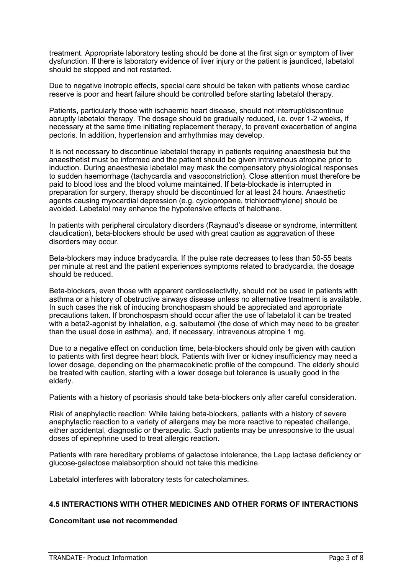treatment. Appropriate laboratory testing should be done at the first sign or symptom of liver dysfunction. If there is laboratory evidence of liver injury or the patient is jaundiced, labetalol should be stopped and not restarted.

Due to negative inotropic effects, special care should be taken with patients whose cardiac reserve is poor and heart failure should be controlled before starting labetalol therapy.

Patients, particularly those with ischaemic heart disease, should not interrupt/discontinue abruptly labetalol therapy. The dosage should be gradually reduced, i.e. over 1-2 weeks, if necessary at the same time initiating replacement therapy, to prevent exacerbation of angina pectoris. In addition, hypertension and arrhythmias may develop.

It is not necessary to discontinue labetalol therapy in patients requiring anaesthesia but the anaesthetist must be informed and the patient should be given intravenous atropine prior to induction. During anaesthesia labetalol may mask the compensatory physiological responses to sudden haemorrhage (tachycardia and vasoconstriction). Close attention must therefore be paid to blood loss and the blood volume maintained. If beta-blockade is interrupted in preparation for surgery, therapy should be discontinued for at least 24 hours. Anaesthetic agents causing myocardial depression (e.g. cyclopropane, trichloroethylene) should be avoided. Labetalol may enhance the hypotensive effects of halothane.

In patients with peripheral circulatory disorders (Raynaud's disease or syndrome, intermittent claudication), beta-blockers should be used with great caution as aggravation of these disorders may occur.

Beta-blockers may induce bradycardia. If the pulse rate decreases to less than 50-55 beats per minute at rest and the patient experiences symptoms related to bradycardia, the dosage should be reduced.

Beta-blockers, even those with apparent cardioselectivity, should not be used in patients with asthma or a history of obstructive airways disease unless no alternative treatment is available. In such cases the risk of inducing bronchospasm should be appreciated and appropriate precautions taken. If bronchospasm should occur after the use of labetalol it can be treated with a beta2-agonist by inhalation, e.g. salbutamol (the dose of which may need to be greater than the usual dose in asthma), and, if necessary, intravenous atropine 1 mg.

Due to a negative effect on conduction time, beta-blockers should only be given with caution to patients with first degree heart block. Patients with liver or kidney insufficiency may need a lower dosage, depending on the pharmacokinetic profile of the compound. The elderly should be treated with caution, starting with a lower dosage but tolerance is usually good in the elderly.

Patients with a history of psoriasis should take beta-blockers only after careful consideration.

Risk of anaphylactic reaction: While taking beta-blockers, patients with a history of severe anaphylactic reaction to a variety of allergens may be more reactive to repeated challenge, either accidental, diagnostic or therapeutic. Such patients may be unresponsive to the usual doses of epinephrine used to treat allergic reaction.

Patients with rare hereditary problems of galactose intolerance, the Lapp lactase deficiency or glucose-galactose malabsorption should not take this medicine.

Labetalol interferes with laboratory tests for catecholamines.

### **4.5 INTERACTIONS WITH OTHER MEDICINES AND OTHER FORMS OF INTERACTIONS**

### **Concomitant use not recommended**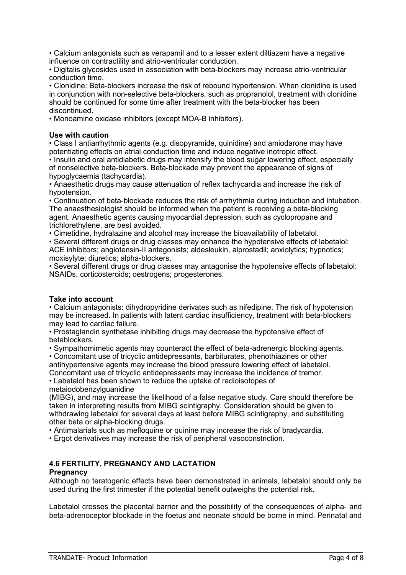• Calcium antagonists such as verapamil and to a lesser extent diltiazem have a negative influence on contractility and atrio-ventricular conduction.

• Digitalis glycosides used in association with beta-blockers may increase atrio-ventricular conduction time.

• Clonidine: Beta-blockers increase the risk of rebound hypertension. When clonidine is used in conjunction with non-selective beta-blockers, such as propranolol, treatment with clonidine should be continued for some time after treatment with the beta-blocker has been discontinued.

• Monoamine oxidase inhibitors (except MOA-B inhibitors).

### **Use with caution**

• Class I antiarrhythmic agents (e.g. disopyramide, quinidine) and amiodarone may have potentiating effects on atrial conduction time and induce negative inotropic effect.

• Insulin and oral antidiabetic drugs may intensify the blood sugar lowering effect, especially of nonselective beta-blockers. Beta-blockade may prevent the appearance of signs of hypoglycaemia (tachycardia).

• Anaesthetic drugs may cause attenuation of reflex tachycardia and increase the risk of hypotension.

• Continuation of beta-blockade reduces the risk of arrhythmia during induction and intubation. The anaesthesiologist should be informed when the patient is receiving a beta-blocking agent. Anaesthetic agents causing myocardial depression, such as cyclopropane and trichlorethylene, are best avoided.

• Cimetidine, hydralazine and alcohol may increase the bioavailability of labetalol.

• Several different drugs or drug classes may enhance the hypotensive effects of labetalol: ACE inhibitors; angiotensin-II antagonists; aldesleukin, alprostadil; anxiolytics; hypnotics; moxisylyte; diuretics; alpha-blockers.

• Several different drugs or drug classes may antagonise the hypotensive effects of labetalol: NSAIDs, corticosteroids; oestrogens; progesterones.

### **Take into account**

• Calcium antagonists: dihydropyridine derivates such as nifedipine. The risk of hypotension may be increased. In patients with latent cardiac insufficiency, treatment with beta-blockers may lead to cardiac failure.

• Prostaglandin synthetase inhibiting drugs may decrease the hypotensive effect of betablockers.

• Sympathomimetic agents may counteract the effect of beta-adrenergic blocking agents. • Concomitant use of tricyclic antidepressants, barbiturates, phenothiazines or other

antihypertensive agents may increase the blood pressure lowering effect of labetalol. Concomitant use of tricyclic antidepressants may increase the incidence of tremor.

• Labetalol has been shown to reduce the uptake of radioisotopes of metaiodobenzylguanidine

(MIBG), and may increase the likelihood of a false negative study. Care should therefore be taken in interpreting results from MIBG scintigraphy. Consideration should be given to withdrawing labetalol for several days at least before MIBG scintigraphy, and substituting other beta or alpha-blocking drugs.

• Antimalarials such as mefloquine or quinine may increase the risk of bradycardia.

• Ergot derivatives may increase the risk of peripheral vasoconstriction.

# **4.6 FERTILITY, PREGNANCY AND LACTATION**

#### **Pregnancy**

Although no teratogenic effects have been demonstrated in animals, labetalol should only be used during the first trimester if the potential benefit outweighs the potential risk.

Labetalol crosses the placental barrier and the possibility of the consequences of alpha- and beta-adrenoceptor blockade in the foetus and neonate should be borne in mind. Perinatal and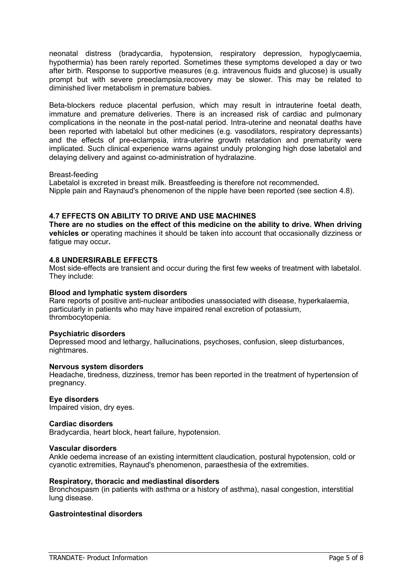neonatal distress (bradycardia, hypotension, respiratory depression, hypoglycaemia, hypothermia) has been rarely reported. Sometimes these symptoms developed a day or two after birth. Response to supportive measures (e.g. intravenous fluids and glucose) is usually prompt but with severe preeclampsia,recovery may be slower. This may be related to diminished liver metabolism in premature babies.

Beta-blockers reduce placental perfusion, which may result in intrauterine foetal death, immature and premature deliveries. There is an increased risk of cardiac and pulmonary complications in the neonate in the post-natal period. Intra-uterine and neonatal deaths have been reported with labetalol but other medicines (e.g. vasodilators, respiratory depressants) and the effects of pre-eclampsia, intra-uterine growth retardation and prematurity were implicated. Such clinical experience warns against unduly prolonging high dose labetalol and delaying delivery and against co-administration of hydralazine.

#### Breast-feeding

Labetalol is excreted in breast milk. Breastfeeding is therefore not recommended**.** Nipple pain and Raynaud's phenomenon of the nipple have been reported (see section 4.8).

### **4.7 EFFECTS ON ABILITY TO DRIVE AND USE MACHINES**

**There are no studies on the effect of this medicine on the ability to drive. When driving vehicles or** operating machines it should be taken into account that occasionally dizziness or fatigue may occur**.**

#### **4.8 UNDERSIRABLE EFFECTS**

Most side-effects are transient and occur during the first few weeks of treatment with labetalol. They include:

#### **Blood and lymphatic system disorders**

Rare reports of positive anti-nuclear antibodies unassociated with disease, hyperkalaemia, particularly in patients who may have impaired renal excretion of potassium, thrombocytopenia.

#### **Psychiatric disorders**

Depressed mood and lethargy, hallucinations, psychoses, confusion, sleep disturbances, nightmares.

#### **Nervous system disorders**

Headache, tiredness, dizziness, tremor has been reported in the treatment of hypertension of pregnancy.

#### **Eye disorders**

Impaired vision, dry eyes.

#### **Cardiac disorders**

Bradycardia, heart block, heart failure, hypotension.

#### **Vascular disorders**

Ankle oedema increase of an existing intermittent claudication, postural hypotension, cold or cyanotic extremities, Raynaud's phenomenon, paraesthesia of the extremities.

#### **Respiratory, thoracic and mediastinal disorders**

Bronchospasm (in patients with asthma or a history of asthma), nasal congestion, interstitial lung disease.

#### **Gastrointestinal disorders**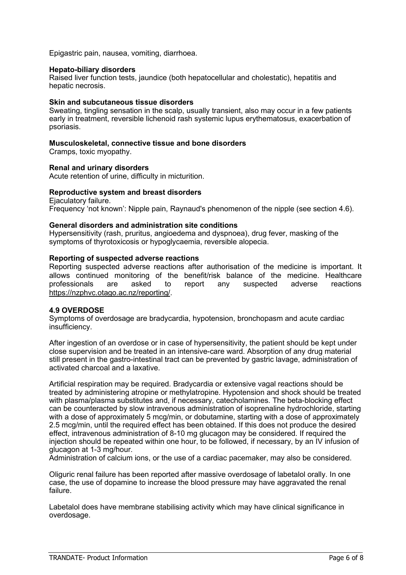Epigastric pain, nausea, vomiting, diarrhoea.

#### **Hepato-biliary disorders**

Raised liver function tests, jaundice (both hepatocellular and cholestatic), hepatitis and hepatic necrosis.

#### **Skin and subcutaneous tissue disorders**

Sweating, tingling sensation in the scalp, usually transient, also may occur in a few patients early in treatment, reversible lichenoid rash systemic lupus erythematosus, exacerbation of psoriasis.

#### **Musculoskeletal, connective tissue and bone disorders**

Cramps, toxic myopathy.

#### **Renal and urinary disorders**

Acute retention of urine, difficulty in micturition.

### **Reproductive system and breast disorders**

Ejaculatory failure. Frequency 'not known': Nipple pain, Raynaud's phenomenon of the nipple (see section 4.6).

#### **General disorders and administration site conditions**

Hypersensitivity (rash, pruritus, angioedema and dyspnoea), drug fever, masking of the symptoms of thyrotoxicosis or hypoglycaemia, reversible alopecia.

#### **Reporting of suspected adverse reactions**

Reporting suspected adverse reactions after authorisation of the medicine is important. It allows continued monitoring of the benefit/risk balance of the medicine. Healthcare professionals are asked to report any suspected adverse reactions [https://nzphvc.otago.ac.nz/reporting/.](https://nzphvc.otago.ac.nz/reporting/)

#### **4.9 OVERDOSE**

Symptoms of overdosage are bradycardia, hypotension, bronchopasm and acute cardiac insufficiency.

After ingestion of an overdose or in case of hypersensitivity, the patient should be kept under close supervision and be treated in an intensive-care ward. Absorption of any drug material still present in the gastro-intestinal tract can be prevented by gastric lavage, administration of activated charcoal and a laxative.

Artificial respiration may be required. Bradycardia or extensive vagal reactions should be treated by administering atropine or methylatropine. Hypotension and shock should be treated with plasma/plasma substitutes and, if necessary, catecholamines. The beta-blocking effect can be counteracted by slow intravenous administration of isoprenaline hydrochloride, starting with a dose of approximately 5 mcg/min, or dobutamine, starting with a dose of approximately 2.5 mcg/min, until the required effect has been obtained. If this does not produce the desired effect, intravenous administration of 8-10 mg glucagon may be considered. If required the injection should be repeated within one hour, to be followed, if necessary, by an IV infusion of glucagon at 1-3 mg/hour.

Administration of calcium ions, or the use of a cardiac pacemaker, may also be considered.

Oliguric renal failure has been reported after massive overdosage of labetalol orally. In one case, the use of dopamine to increase the blood pressure may have aggravated the renal failure.

Labetalol does have membrane stabilising activity which may have clinical significance in overdosage.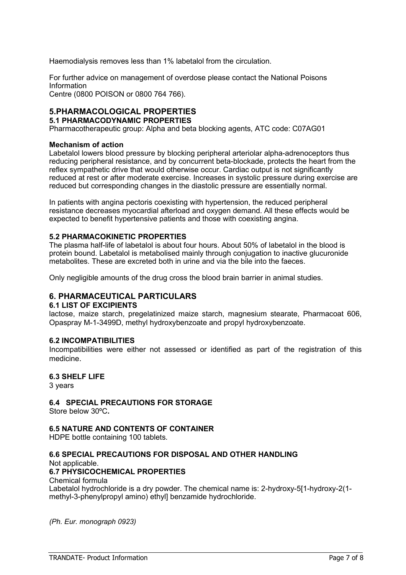Haemodialysis removes less than 1% labetalol from the circulation.

For further advice on management of overdose please contact the National Poisons Information

Centre (0800 POISON or 0800 764 766).

#### **5.PHARMACOLOGICAL PROPERTIES 5.1 PHARMACODYNAMIC PROPERTIES**

Pharmacotherapeutic group: Alpha and beta blocking agents, ATC code: C07AG01

### **Mechanism of action**

Labetalol lowers blood pressure by blocking peripheral arteriolar alpha-adrenoceptors thus reducing peripheral resistance, and by concurrent beta-blockade, protects the heart from the reflex sympathetic drive that would otherwise occur. Cardiac output is not significantly reduced at rest or after moderate exercise. Increases in systolic pressure during exercise are reduced but corresponding changes in the diastolic pressure are essentially normal.

In patients with angina pectoris coexisting with hypertension, the reduced peripheral resistance decreases myocardial afterload and oxygen demand. All these effects would be expected to benefit hypertensive patients and those with coexisting angina.

### **5.2 PHARMACOKINETIC PROPERTIES**

The plasma half-life of labetalol is about four hours. About 50% of labetalol in the blood is protein bound. Labetalol is metabolised mainly through conjugation to inactive glucuronide metabolites. These are excreted both in urine and via the bile into the faeces.

Only negligible amounts of the drug cross the blood brain barrier in animal studies.

# **6. PHARMACEUTICAL PARTICULARS**

#### **6.1 LIST OF EXCIPIENTS**

lactose, maize starch, pregelatinized maize starch, magnesium stearate, Pharmacoat 606, Opaspray M-1-3499D, methyl hydroxybenzoate and propyl hydroxybenzoate.

#### **6.2 INCOMPATIBILITIES**

Incompatibilities were either not assessed or identified as part of the registration of this medicine.

### **6.3 SHELF LIFE**

3 years

### **6.4 SPECIAL PRECAUTIONS FOR STORAGE**

Store below 30ºC**.**

### **6.5 NATURE AND CONTENTS OF CONTAINER**

HDPE bottle containing 100 tablets.

# **6.6 SPECIAL PRECAUTIONS FOR DISPOSAL AND OTHER HANDLING**

Not applicable.

### **6.7 PHYSICOCHEMICAL PROPERTIES**

Chemical formula

Labetalol hydrochloride is a dry powder. The chemical name is: 2-hydroxy-5[1-hydroxy-2(1 methyl-3-phenylpropyl amino) ethyl] benzamide hydrochloride.

*(Ph. Eur. monograph 0923)*